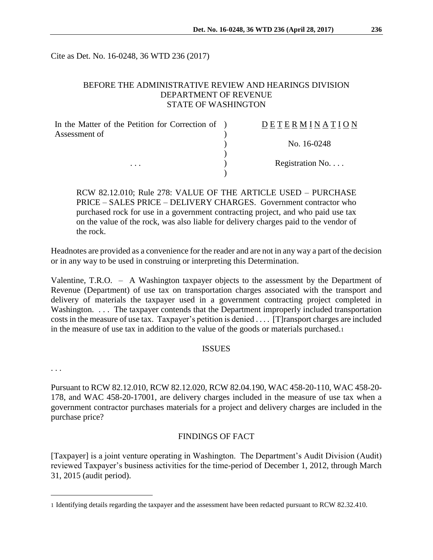Cite as Det. No. 16-0248, 36 WTD 236 (2017)

# BEFORE THE ADMINISTRATIVE REVIEW AND HEARINGS DIVISION DEPARTMENT OF REVENUE STATE OF WASHINGTON

| In the Matter of the Petition for Correction of ) | <b>DETERMINATION</b> |
|---------------------------------------------------|----------------------|
| Assessment of                                     |                      |
|                                                   | No. 16-0248          |
|                                                   |                      |
| $\cdots$                                          | Registration No      |
|                                                   |                      |

RCW 82.12.010; Rule 278: VALUE OF THE ARTICLE USED – PURCHASE PRICE – SALES PRICE – DELIVERY CHARGES. Government contractor who purchased rock for use in a government contracting project, and who paid use tax on the value of the rock, was also liable for delivery charges paid to the vendor of the rock.

Headnotes are provided as a convenience for the reader and are not in any way a part of the decision or in any way to be used in construing or interpreting this Determination.

Valentine, T.R.O. – A Washington taxpayer objects to the assessment by the Department of Revenue (Department) of use tax on transportation charges associated with the transport and delivery of materials the taxpayer used in a government contracting project completed in Washington. ... The taxpayer contends that the Department improperly included transportation costs in the measure of use tax. Taxpayer's petition is denied . . . . [T]ransport charges are included in the measure of use tax in addition to the value of the goods or materials purchased.<sup>1</sup>

### ISSUES

. . .

 $\overline{a}$ 

Pursuant to RCW 82.12.010, RCW 82.12.020, RCW 82.04.190, WAC 458-20-110, WAC 458-20- 178, and WAC 458-20-17001, are delivery charges included in the measure of use tax when a government contractor purchases materials for a project and delivery charges are included in the purchase price?

## FINDINGS OF FACT

[Taxpayer] is a joint venture operating in Washington. The Department's Audit Division (Audit) reviewed Taxpayer's business activities for the time-period of December 1, 2012, through March 31, 2015 (audit period).

<sup>1</sup> Identifying details regarding the taxpayer and the assessment have been redacted pursuant to RCW 82.32.410.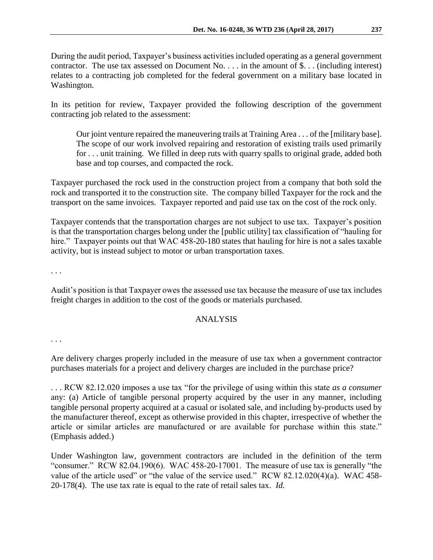During the audit period, Taxpayer's business activities included operating as a general government contractor. The use tax assessed on Document No. . . . in the amount of \$. . . (including interest) relates to a contracting job completed for the federal government on a military base located in Washington.

In its petition for review, Taxpayer provided the following description of the government contracting job related to the assessment:

Our joint venture repaired the maneuvering trails at Training Area . . . of the [military base]. The scope of our work involved repairing and restoration of existing trails used primarily for . . . unit training. We filled in deep ruts with quarry spalls to original grade, added both base and top courses, and compacted the rock.

Taxpayer purchased the rock used in the construction project from a company that both sold the rock and transported it to the construction site. The company billed Taxpayer for the rock and the transport on the same invoices. Taxpayer reported and paid use tax on the cost of the rock only.

Taxpayer contends that the transportation charges are not subject to use tax. Taxpayer's position is that the transportation charges belong under the [public utility] tax classification of "hauling for hire." Taxpayer points out that WAC 458-20-180 states that hauling for hire is not a sales taxable activity, but is instead subject to motor or urban transportation taxes.

. . .

Audit's position is that Taxpayer owes the assessed use tax because the measure of use tax includes freight charges in addition to the cost of the goods or materials purchased.

## ANALYSIS

. . .

Are delivery charges properly included in the measure of use tax when a government contractor purchases materials for a project and delivery charges are included in the purchase price?

. . . RCW 82.12.020 imposes a use tax "for the privilege of using within this state *as a consumer* any: (a) Article of tangible personal property acquired by the user in any manner, including tangible personal property acquired at a casual or isolated sale, and including by-products used by the manufacturer thereof, except as otherwise provided in this chapter, irrespective of whether the article or similar articles are manufactured or are available for purchase within this state." (Emphasis added.)

Under Washington law, government contractors are included in the definition of the term "consumer." RCW 82.04.190(6). WAC 458-20-17001. The measure of use tax is generally "the value of the article used" or "the value of the service used." RCW 82.12.020(4)(a). WAC 458- 20-178(4). The use tax rate is equal to the rate of retail sales tax. *Id.*